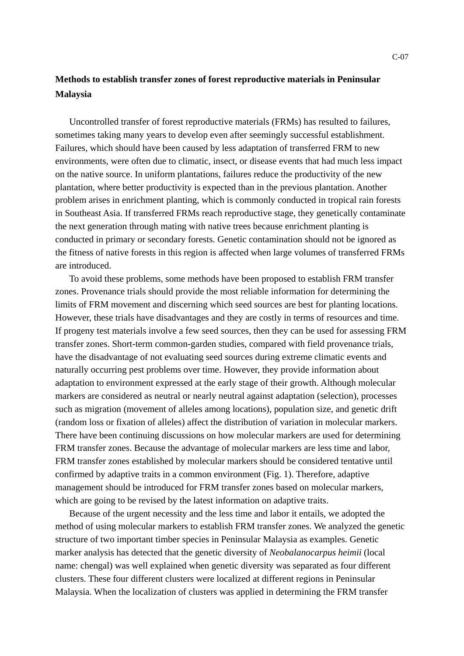## **Methods to establish transfer zones of forest reproductive materials in Peninsular Malaysia**

Uncontrolled transfer of forest reproductive materials (FRMs) has resulted to failures, sometimes taking many years to develop even after seemingly successful establishment. Failures, which should have been caused by less adaptation of transferred FRM to new environments, were often due to climatic, insect, or disease events that had much less impact on the native source. In uniform plantations, failures reduce the productivity of the new plantation, where better productivity is expected than in the previous plantation. Another problem arises in enrichment planting, which is commonly conducted in tropical rain forests in Southeast Asia. If transferred FRMs reach reproductive stage, they genetically contaminate the next generation through mating with native trees because enrichment planting is conducted in primary or secondary forests. Genetic contamination should not be ignored as the fitness of native forests in this region is affected when large volumes of transferred FRMs are introduced.

To avoid these problems, some methods have been proposed to establish FRM transfer zones. Provenance trials should provide the most reliable information for determining the limits of FRM movement and discerning which seed sources are best for planting locations. However, these trials have disadvantages and they are costly in terms of resources and time. If progeny test materials involve a few seed sources, then they can be used for assessing FRM transfer zones. Short-term common-garden studies, compared with field provenance trials, have the disadvantage of not evaluating seed sources during extreme climatic events and naturally occurring pest problems over time. However, they provide information about adaptation to environment expressed at the early stage of their growth. Although molecular markers are considered as neutral or nearly neutral against adaptation (selection), processes such as migration (movement of alleles among locations), population size, and genetic drift (random loss or fixation of alleles) affect the distribution of variation in molecular markers. There have been continuing discussions on how molecular markers are used for determining FRM transfer zones. Because the advantage of molecular markers are less time and labor, FRM transfer zones established by molecular markers should be considered tentative until confirmed by adaptive traits in a common environment (Fig. 1). Therefore, adaptive management should be introduced for FRM transfer zones based on molecular markers, which are going to be revised by the latest information on adaptive traits.

Because of the urgent necessity and the less time and labor it entails, we adopted the method of using molecular markers to establish FRM transfer zones. We analyzed the genetic structure of two important timber species in Peninsular Malaysia as examples. Genetic marker analysis has detected that the genetic diversity of *Neobalanocarpus heimii* (local name: chengal) was well explained when genetic diversity was separated as four different clusters. These four different clusters were localized at different regions in Peninsular Malaysia. When the localization of clusters was applied in determining the FRM transfer